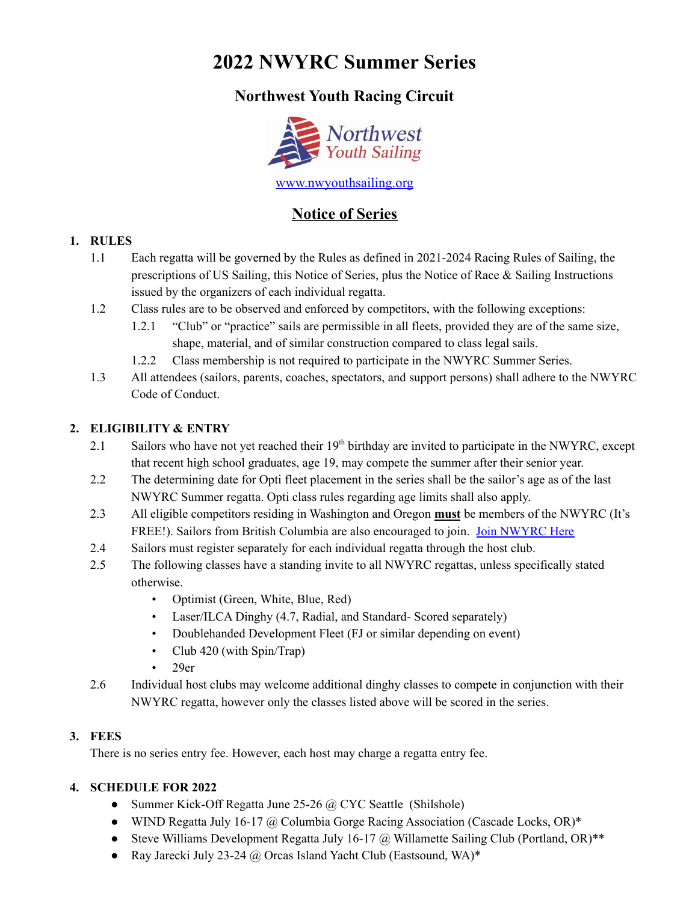# **2022 NWYRC Summer Series**

# **Northwest Youth Racing Circuit**



# **Notice of Series**

### **1. RULES**

- 1.1 Each regatta will be governed by the Rules as defined in 2021-2024 Racing Rules of Sailing, the prescriptions of US Sailing, this Notice of Series, plus the Notice of Race & Sailing Instructions issued by the organizers of each individual regatta.
- 1.2 Class rules are to be observed and enforced by competitors, with the following exceptions:
	- 1.2.1 "Club" or "practice" sails are permissible in all fleets, provided they are of the same size, shape, material, and of similar construction compared to class legal sails.
	- 1.2.2 Class membership is not required to participate in the NWYRC Summer Series.
- 1.3 All attendees (sailors, parents, coaches, spectators, and support persons) shall adhere to the NWYRC Code of Conduct.

### **2. ELIGIBILITY & ENTRY**

- 2.1 Sailors who have not yet reached their 19<sup>th</sup> birthday are invited to participate in the NWYRC, except that recent high school graduates, age 19, may compete the summer after their senior year.
- 2.2 The determining date for Opti fleet placement in the series shall be the sailor's age as of the last NWYRC Summer regatta. Opti class rules regarding age limits shall also apply.
- 2.3 All eligible competitors residing in Washington and Oregon **must** be members of the NWYRC (It's FREE!). Sailors from British Columbia are also encouraged to join. Join [NWYRC](https://docs.google.com/a/thesailingfoundation.org/forms/d/1iiyqPzAAk45lAyu8ybfnASX3WZWBosia4DGh0ELzK6Y/viewform) Here
- 2.4 Sailors must register separately for each individual regatta through the host club.
- 2.5 The following classes have a standing invite to all NWYRC regattas, unless specifically stated otherwise.
	- Optimist (Green, White, Blue, Red)
	- Laser/ILCA Dinghy (4.7, Radial, and Standard- Scored separately)
	- Doublehanded Development Fleet (FJ or similar depending on event)
	- Club 420 (with Spin/Trap)
	- 29er
- 2.6 Individual host clubs may welcome additional dinghy classes to compete in conjunction with their NWYRC regatta, however only the classes listed above will be scored in the series.

# **3. FEES**

There is no series entry fee. However, each host may charge a regatta entry fee.

### **4. SCHEDULE FOR 2022**

- Summer Kick-Off Regatta June 25-26 @ CYC Seattle (Shilshole)
- WIND Regatta July 16-17 @ Columbia Gorge Racing Association (Cascade Locks, OR)\*
- Steve Williams Development Regatta July 16-17 @ Willamette Sailing Club (Portland, OR)\*\*
- Ray Jarecki July 23-24  $\omega$  Orcas Island Yacht Club (Eastsound, WA)\*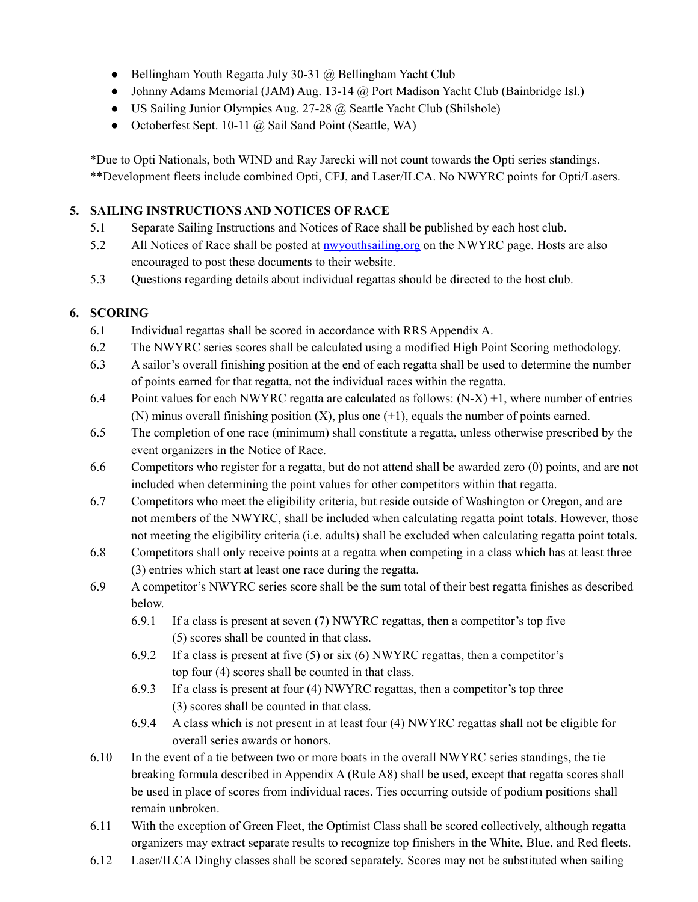- Bellingham Youth Regatta July 30-31 @ Bellingham Yacht Club
- Johnny Adams Memorial (JAM) Aug. 13-14 @ Port Madison Yacht Club (Bainbridge Isl.)
- US Sailing Junior Olympics Aug. 27-28 @ Seattle Yacht Club (Shilshole)
- Octoberfest Sept. 10-11 @ Sail Sand Point (Seattle, WA)

\*Due to Opti Nationals, both WIND and Ray Jarecki will not count towards the Opti series standings. \*\*Development fleets include combined Opti, CFJ, and Laser/ILCA. No NWYRC points for Opti/Lasers.

### **5. SAILING INSTRUCTIONS AND NOTICES OF RACE**

- 5.1 Separate Sailing Instructions and Notices of Race shall be published by each host club.
- 5.2 All Notices of Race shall be posted at <u>nwyouthsailing org</u> on the NWYRC page. Hosts are also encouraged to post these documents to their website.
- 5.3 Questions regarding details about individual regattas should be directed to the host club.

# **6. SCORING**

- 6.1 Individual regattas shall be scored in accordance with RRS Appendix A.
- 6.2 The NWYRC series scores shall be calculated using a modified High Point Scoring methodology.
- 6.3 A sailor's overall finishing position at the end of each regatta shall be used to determine the number of points earned for that regatta, not the individual races within the regatta.
- 6.4 Point values for each NWYRC regatta are calculated as follows:  $(N-X) +1$ , where number of entries (N) minus overall finishing position  $(X)$ , plus one  $(+1)$ , equals the number of points earned.
- 6.5 The completion of one race (minimum) shall constitute a regatta, unless otherwise prescribed by the event organizers in the Notice of Race.
- 6.6 Competitors who register for a regatta, but do not attend shall be awarded zero (0) points, and are not included when determining the point values for other competitors within that regatta.
- 6.7 Competitors who meet the eligibility criteria, but reside outside of Washington or Oregon, and are not members of the NWYRC, shall be included when calculating regatta point totals. However, those not meeting the eligibility criteria (i.e. adults) shall be excluded when calculating regatta point totals.
- 6.8 Competitors shall only receive points at a regatta when competing in a class which has at least three (3) entries which start at least one race during the regatta.
- 6.9 A competitor's NWYRC series score shall be the sum total of their best regatta finishes as described below.
	- 6.9.1 If a class is present at seven (7) NWYRC regattas, then a competitor's top five (5) scores shall be counted in that class.
	- 6.9.2 If a class is present at five  $(5)$  or six  $(6)$  NWYRC regattas, then a competitor's top four (4) scores shall be counted in that class.
	- 6.9.3 If a class is present at four (4) NWYRC regattas, then a competitor's top three (3) scores shall be counted in that class.
	- 6.9.4 A class which is not present in at least four (4) NWYRC regattas shall not be eligible for overall series awards or honors.
- 6.10 In the event of a tie between two or more boats in the overall NWYRC series standings, the tie breaking formula described in Appendix A (Rule A8) shall be used, except that regatta scores shall be used in place of scores from individual races. Ties occurring outside of podium positions shall remain unbroken.
- 6.11 With the exception of Green Fleet, the Optimist Class shall be scored collectively, although regatta organizers may extract separate results to recognize top finishers in the White, Blue, and Red fleets.
- 6.12 Laser/ILCA Dinghy classes shall be scored separately. Scores may not be substituted when sailing